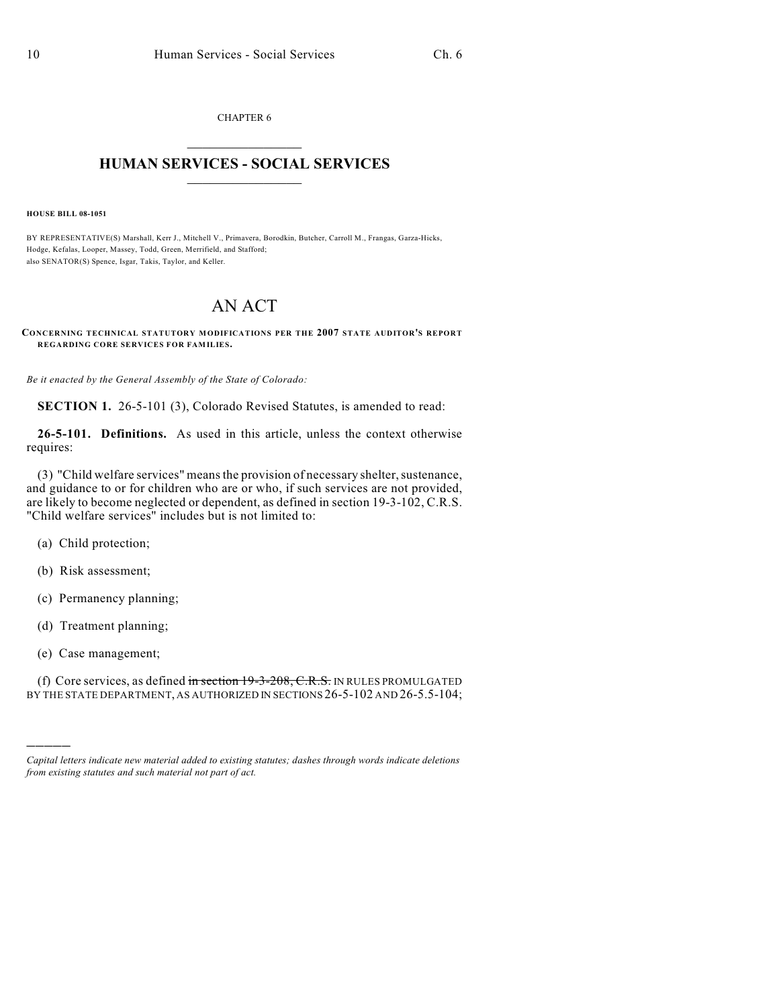CHAPTER 6  $\overline{\phantom{a}}$  . The set of the set of the set of the set of the set of the set of the set of the set of the set of the set of the set of the set of the set of the set of the set of the set of the set of the set of the set o

## **HUMAN SERVICES - SOCIAL SERVICES**  $\frac{1}{2}$  ,  $\frac{1}{2}$  ,  $\frac{1}{2}$  ,  $\frac{1}{2}$  ,  $\frac{1}{2}$  ,  $\frac{1}{2}$  ,  $\frac{1}{2}$

**HOUSE BILL 08-1051**

BY REPRESENTATIVE(S) Marshall, Kerr J., Mitchell V., Primavera, Borodkin, Butcher, Carroll M., Frangas, Garza-Hicks, Hodge, Kefalas, Looper, Massey, Todd, Green, Merrifield, and Stafford; also SENATOR(S) Spence, Isgar, Takis, Taylor, and Keller.

## AN ACT

## **CONCERNING TECHNICAL STATUTORY MODIFICATIONS PER THE 2007 STATE AUDITOR'S REPORT REGARDING CORE SERVICES FOR FAMILIES.**

*Be it enacted by the General Assembly of the State of Colorado:*

**SECTION 1.** 26-5-101 (3), Colorado Revised Statutes, is amended to read:

**26-5-101. Definitions.** As used in this article, unless the context otherwise requires:

(3) "Child welfare services" means the provision of necessary shelter, sustenance, and guidance to or for children who are or who, if such services are not provided, are likely to become neglected or dependent, as defined in section 19-3-102, C.R.S. "Child welfare services" includes but is not limited to:

- (a) Child protection;
- (b) Risk assessment;
- (c) Permanency planning;
- (d) Treatment planning;
- (e) Case management;

)))))

(f) Core services, as defined in section  $19-3-208$ , C.R.S. IN RULES PROMULGATED BY THE STATE DEPARTMENT, AS AUTHORIZED IN SECTIONS 26-5-102 AND 26-5.5-104;

*Capital letters indicate new material added to existing statutes; dashes through words indicate deletions from existing statutes and such material not part of act.*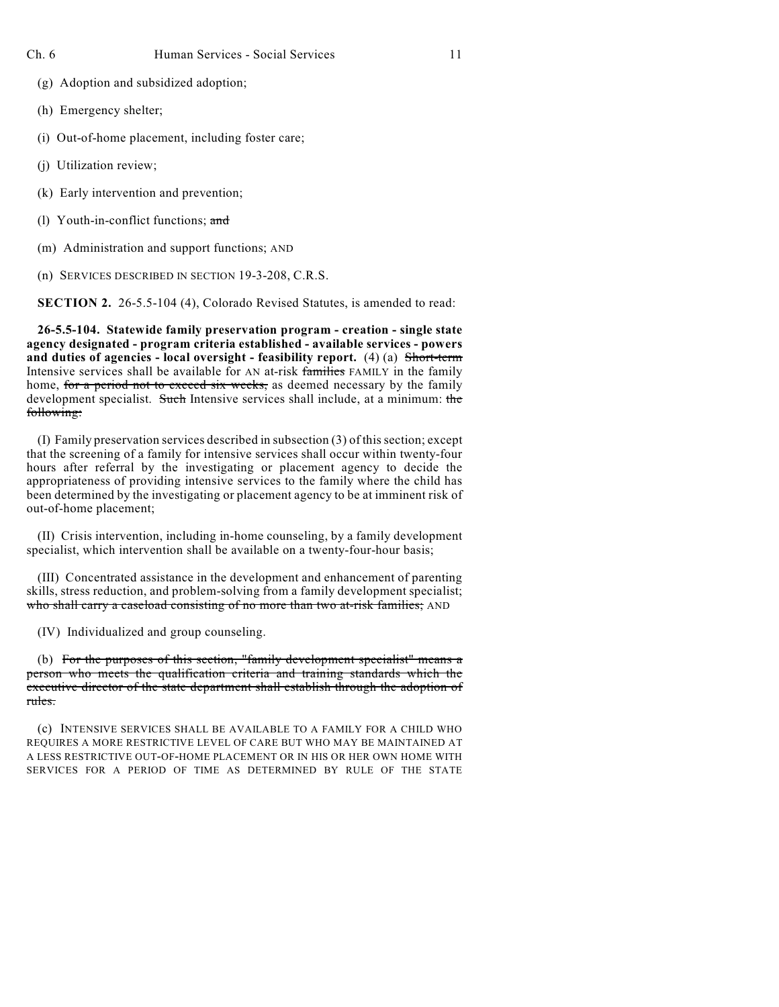- (g) Adoption and subsidized adoption;
- (h) Emergency shelter;
- (i) Out-of-home placement, including foster care;
- (j) Utilization review;
- (k) Early intervention and prevention;
- (l) Youth-in-conflict functions; and
- (m) Administration and support functions; AND
- (n) SERVICES DESCRIBED IN SECTION 19-3-208, C.R.S.

**SECTION 2.** 26-5.5-104 (4), Colorado Revised Statutes, is amended to read:

**26-5.5-104. Statewide family preservation program - creation - single state agency designated - program criteria established - available services - powers and duties of agencies - local oversight - feasibility report.** (4) (a) Short-term Intensive services shall be available for AN at-risk families FAMILY in the family home, for a period not to exceed six weeks, as deemed necessary by the family development specialist. Such Intensive services shall include, at a minimum: the following:

(I) Family preservation services described in subsection (3) of this section; except that the screening of a family for intensive services shall occur within twenty-four hours after referral by the investigating or placement agency to decide the appropriateness of providing intensive services to the family where the child has been determined by the investigating or placement agency to be at imminent risk of out-of-home placement;

(II) Crisis intervention, including in-home counseling, by a family development specialist, which intervention shall be available on a twenty-four-hour basis;

(III) Concentrated assistance in the development and enhancement of parenting skills, stress reduction, and problem-solving from a family development specialist; who shall carry a caseload consisting of no more than two at-risk families; AND

(IV) Individualized and group counseling.

(b) For the purposes of this section, "family development specialist" means a person who meets the qualification criteria and training standards which the executive director of the state department shall establish through the adoption of rules.

(c) INTENSIVE SERVICES SHALL BE AVAILABLE TO A FAMILY FOR A CHILD WHO REQUIRES A MORE RESTRICTIVE LEVEL OF CARE BUT WHO MAY BE MAINTAINED AT A LESS RESTRICTIVE OUT-OF-HOME PLACEMENT OR IN HIS OR HER OWN HOME WITH SERVICES FOR A PERIOD OF TIME AS DETERMINED BY RULE OF THE STATE